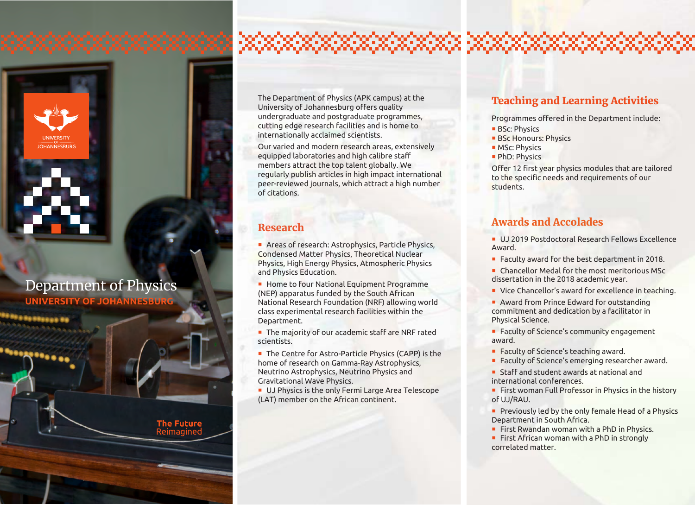

99 8 99 99 99 9 9 9 F

# Department of Physics

**UNIVERSITY OF JOHANNESBURG**

**The Future** Reimagine

The Department of Physics (APK campus) at the University of Johannesburg offers quality undergraduate and postgraduate programmes, cutting edge research facilities and is home to internationally acclaimed scientists.

Our varied and modern research areas, extensively equipped laboratories and high calibre staff members attract the top talent globally. We regularly publish articles in high impact international peer-reviewed journals, which attract a high number of citations.

#### Research

Areas of research: Astrophysics, Particle Physics, Condensed Matter Physics, Theoretical Nuclear Physics, High Energy Physics, Atmospheric Physics and Physics Education.

Home to four National Equipment Programme (NEP) apparatus funded by the South African National Research Foundation (NRF) allowing world class experimental research facilities within the Department.

The majority of our academic staff are NRF rated scientists.

■ The Centre for Astro-Particle Physics (CAPP) is the home of research on Gamma-Ray Astrophysics, Neutrino Astrophysics, Neutrino Physics and Gravitational Wave Physics.

**UJ Physics is the only Fermi Large Area Telescope** (LAT) member on the African continent.

### Teaching and Learning Activities

Programmes offered in the Department include:

- **BSc: Physics**
- **BSc Honours: Physics**
- **MSc: Physics**
- **PhD: Physics**

Offer 12 first year physics modules that are tailored to the specific needs and requirements of our students.

### Awards and Accolades

UJ 2019 Postdoctoral Research Fellows Excellence Award.

- Faculty award for the best department in 2018.
- Chancellor Medal for the most meritorious MSc dissertation in the 2018 academic year.
- Vice Chancellor's award for excellence in teaching.
- **Award from Prince Edward for outstanding** commitment and dedication by a facilitator in Physical Science.
- **Faculty of Science's community engagement** award.
- Faculty of Science's teaching award.
- **Faculty of Science's emerging researcher award.**

■ Staff and student awards at national and international conferences.

**First woman Full Professor in Physics in the history** of UJ/RAU.

- **Previously led by the only female Head of a Physics** Department in South Africa.
- First Rwandan woman with a PhD in Physics.

 $\blacksquare$  First African woman with a PhD in strongly correlated matter.